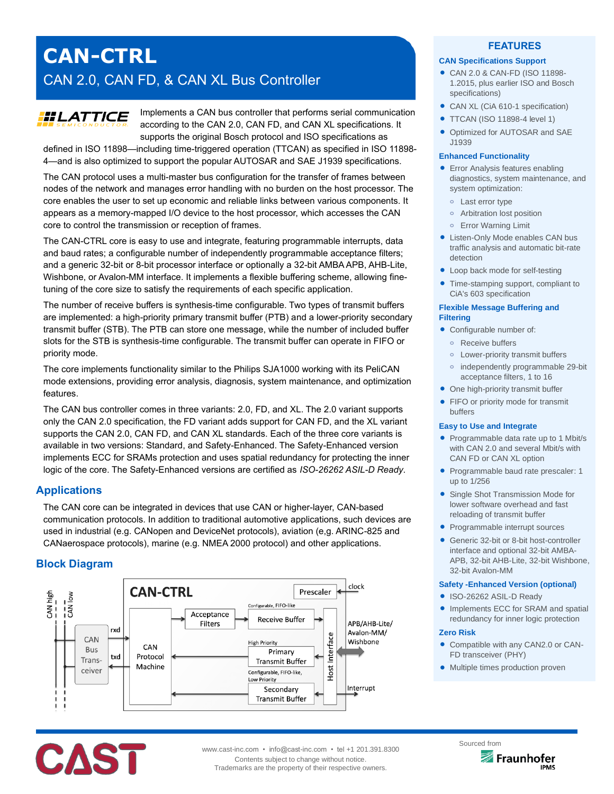# **CAN-CTRL** CAN 2.0, CAN FD, & CAN XL Bus Controller

# **HLATTICE**

Implements a CAN bus controller that performs serial communication according to the CAN 2.0, CAN FD, and CAN XL specifications. It supports the original Bosch protocol and ISO specifications as

defined in ISO 11898—including time-triggered operation (TTCAN) as specified in ISO 11898- 4—and is also optimized to support the popular AUTOSAR and SAE J1939 specifications.

The CAN protocol uses a multi-master bus configuration for the transfer of frames between nodes of the network and manages error handling with no burden on the host processor. The core enables the user to set up economic and reliable links between various components. It appears as a memory-mapped I/O device to the host processor, which accesses the CAN core to control the transmission or reception of frames.

The CAN-CTRL core is easy to use and integrate, featuring programmable interrupts, data and baud rates; a configurable number of independently programmable acceptance filters; and a generic 32-bit or 8-bit processor interface or optionally a 32-bit AMBA APB, AHB-Lite, Wishbone, or Avalon-MM interface. It implements a flexible buffering scheme, allowing finetuning of the core size to satisfy the requirements of each specific application.

The number of receive buffers is synthesis-time configurable. Two types of transmit buffers are implemented: a high-priority primary transmit buffer (PTB) and a lower-priority secondary transmit buffer (STB). The PTB can store one message, while the number of included buffer slots for the STB is synthesis-time configurable. The transmit buffer can operate in FIFO or priority mode.

The core implements functionality similar to the Philips SJA1000 working with its PeliCAN mode extensions, providing error analysis, diagnosis, system maintenance, and optimization features.

The CAN bus controller comes in three variants: 2.0, FD, and XL. The 2.0 variant supports only the CAN 2.0 specification, the FD variant adds support for CAN FD, and the XL variant supports the CAN 2.0, CAN FD, and CAN XL standards. Each of the three core variants is available in two versions: Standard, and Safety-Enhanced. The Safety-Enhanced version implements ECC for SRAMs protection and uses spatial redundancy for protecting the inner logic of the core. The Safety-Enhanced versions are certified as *ISO-26262 ASIL-D Ready*.

# **Applications**

The CAN core can be integrated in devices that use CAN or higher-layer, CAN-based communication protocols. In addition to traditional automotive applications, such devices are used in industrial (e.g. CANopen and DeviceNet protocols), aviation (e,g. ARINC-825 and CANaerospace protocols), marine (e.g. NMEA 2000 protocol) and other applications.

# **Block Diagram**



### **FEATURES**

### **CAN Specifications Support**

- CAN 2.0 & CAN-FD (ISO 11898- 1.2015, plus earlier ISO and Bosch specifications)
- CAN XL (CiA 610-1 specification)
- **TTCAN (ISO 11898-4 level 1)**
- Optimized for AUTOSAR and SAE J1939

#### **Enhanced Functionality**

- **Error Analysis features enabling** diagnostics, system maintenance, and system optimization:
	- **o** Last error type
	- **o** Arbitration lost position
	- **o** Error Warning Limit
- Listen-Only Mode enables CAN bus traffic analysis and automatic bit-rate detection
- Loop back mode for self-testing
- Time-stamping support, compliant to CiA's 603 specification

#### **Flexible Message Buffering and Filtering**

- Configurable number of:
	- **o** Receive buffers
	- **o** Lower-priority transmit buffers
	- **o** independently programmable 29-bit acceptance filters, 1 to 16
- One high-priority transmit buffer
- FIFO or priority mode for transmit buffers

#### **Easy to Use and Integrate**

- Programmable data rate up to 1 Mbit/s with CAN 2.0 and several Mbit/s with CAN FD or CAN XL option
- Programmable baud rate prescaler: 1 up to 1/256
- Single Shot Transmission Mode for lower software overhead and fast reloading of transmit buffer
- Programmable interrupt sources
- Generic 32-bit or 8-bit host-controller interface and optional 32-bit AMBA-APB, 32-bit AHB-Lite, 32-bit Wishbone, 32-bit Avalon-MM

#### **Safety -Enhanced Version (optional)**

- ISO-26262 ASIL-D Ready
- Implements ECC for SRAM and spatial redundancy for inner logic protection

#### **Zero Risk**

- Compatible with any CAN2.0 or CAN-FD transceiver (PHY)
- Multiple times production proven



www.cast-inc.com • info@cast-inc.com • tel +1 201.391.8300 Contents subject to change without notice.

Trademarks are the property of their respective owners.